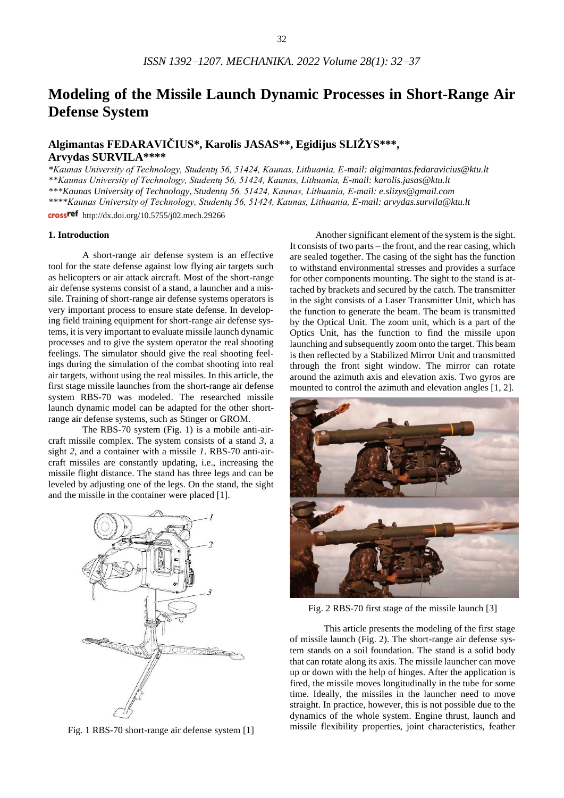# **Modeling of the Missile Launch Dynamic Processes in Short-Range Air Defense System**

# **Algimantas FEDARAVIČIUS\*, Karolis JASAS\*\*, Egidijus SLIŽYS\*\*\*, Arvydas SURVILA\*\*\*\***

*\*Kaunas University of Technology, Studentų 56, 51424, Kaunas, Lithuania, E-mail: algimantas.fedaravicius@ktu.lt \*\*Kaunas University of Technology, Studentų 56, 51424, Kaunas, Lithuania, E-mail: karolis.jasas@ktu.lt \*\*\*Kaunas University of Technology, Studentų 56, 51424, Kaunas, Lithuania, E-mail: e.slizys@gmail.com \*\*\*\*Kaunas University of Technology, Studentų 56, 51424, Kaunas, Lithuania, E-mail: arvydas.survila@ktu.lt* cross<sup>ref</sup> http://dx.doi.org/10.5755/j02.mech.29266

#### **1. Introduction**

A short-range air defense system is an effective tool for the state defense against low flying air targets such as helicopters or air attack aircraft. Most of the short-range air defense systems consist of a stand, a launcher and a missile. Training of short-range air defense systems operators is very important process to ensure state defense. In developing field training equipment for short-range air defense systems, it is very important to evaluate missile launch dynamic processes and to give the system operator the real shooting feelings. The simulator should give the real shooting feelings during the simulation of the combat shooting into real air targets, without using the real missiles. In this article, the first stage missile launches from the short-range air defense system RBS-70 was modeled. The researched missile launch dynamic model can be adapted for the other shortrange air defense systems, such as Stinger or GROM.

The RBS-70 system (Fig. 1) is a mobile anti-aircraft missile complex. The system consists of a stand *3*, a sight *2*, and a container with a missile *1*. RBS-70 anti-aircraft missiles are constantly updating, i.e., increasing the missile flight distance. The stand has three legs and can be leveled by adjusting one of the legs. On the stand, the sight and the missile in the container were placed [1].



Fig. 1 RBS-70 short-range air defense system [1]

Another significant element of the system is the sight. It consists of two parts – the front, and the rear casing, which are sealed together. The casing of the sight has the function to withstand environmental stresses and provides a surface for other components mounting. The sight to the stand is attached by brackets and secured by the catch. The transmitter in the sight consists of a Laser Transmitter Unit, which has the function to generate the beam. The beam is transmitted by the Optical Unit. The zoom unit, which is a part of the Optics Unit, has the function to find the missile upon launching and subsequently zoom onto the target. This beam is then reflected by a Stabilized Mirror Unit and transmitted through the front sight window. The mirror can rotate around the azimuth axis and elevation axis. Two gyros are mounted to control the azimuth and elevation angles [1, 2].



Fig. 2 RBS-70 first stage of the missile launch [3]

This article presents the modeling of the first stage of missile launch (Fig. 2). The short-range air defense system stands on a soil foundation. The stand is a solid body that can rotate along its axis. The missile launcher can move up or down with the help of hinges. After the application is fired, the missile moves longitudinally in the tube for some time. Ideally, the missiles in the launcher need to move straight. In practice, however, this is not possible due to the dynamics of the whole system. Engine thrust, launch and missile flexibility properties, joint characteristics, feather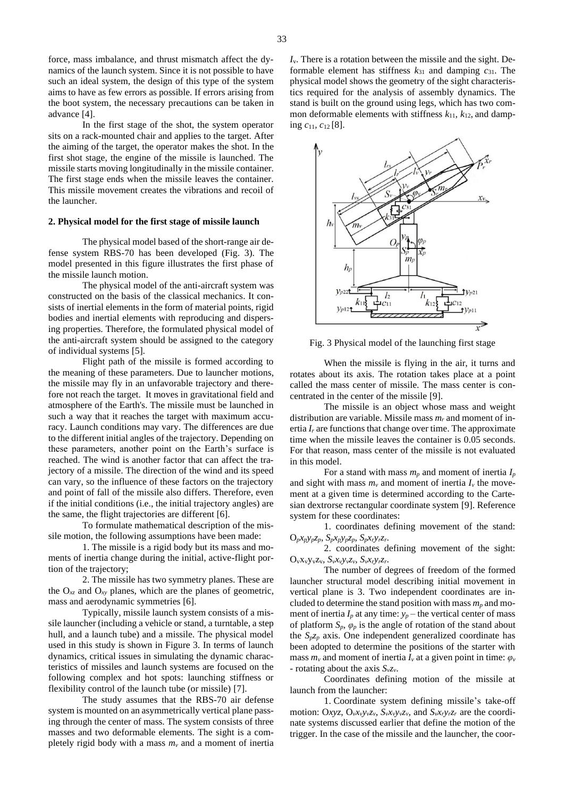force, mass imbalance, and thrust mismatch affect the dynamics of the launch system. Since it is not possible to have such an ideal system, the design of this type of the system aims to have as few errors as possible. If errors arising from the boot system, the necessary precautions can be taken in advance [4].

In the first stage of the shot, the system operator sits on a rack-mounted chair and applies to the target. After the aiming of the target, the operator makes the shot. In the first shot stage, the engine of the missile is launched. The missile starts moving longitudinally in the missile container. The first stage ends when the missile leaves the container. This missile movement creates the vibrations and recoil of the launcher.

#### **2. Physical model for the first stage of missile launch**

The physical model based of the short-range air defense system RBS-70 has been developed (Fig. 3). The model presented in this figure illustrates the first phase of the missile launch motion.

The physical model of the anti-aircraft system was constructed on the basis of the classical mechanics. It consists of inertial elements in the form of material points, rigid bodies and inertial elements with reproducing and dispersing properties. Therefore, the formulated physical model of the anti-aircraft system should be assigned to the category of individual systems [5].

Flight path of the missile is formed according to the meaning of these parameters. Due to launcher motions, the missile may fly in an unfavorable trajectory and therefore not reach the target. It moves in gravitational field and atmosphere of the Earth's. The missile must be launched in such a way that it reaches the target with maximum accuracy. Launch conditions may vary. The differences are due to the different initial angles of the trajectory. Depending on these parameters, another point on the Earth's surface is reached. The wind is another factor that can affect the trajectory of a missile. The direction of the wind and its speed can vary, so the influence of these factors on the trajectory and point of fall of the missile also differs. Therefore, even if the initial conditions (i.e., the initial trajectory angles) are the same, the flight trajectories are different [6].

To formulate mathematical description of the missile motion, the following assumptions have been made:

1. The missile is a rigid body but its mass and moments of inertia change during the initial, active-flight portion of the trajectory;

2. The missile has two symmetry planes. These are the O*xz* and O*xy* planes, which are the planes of geometric, mass and aerodynamic symmetries [6].

Typically, missile launch system consists of a missile launcher (including a vehicle or stand, a turntable, a step hull, and a launch tube) and a missile. The physical model used in this study is shown in Figure 3. In terms of launch dynamics, critical issues in simulating the dynamic characteristics of missiles and launch systems are focused on the following complex and hot spots: launching stiffness or flexibility control of the launch tube (or missile) [7].

The study assumes that the RBS-70 air defense system is mounted on an asymmetrically vertical plane passing through the center of mass. The system consists of three masses and two deformable elements. The sight is a completely rigid body with a mass *m<sup>v</sup>* and a moment of inertia *I*v. There is a rotation between the missile and the sight. Deformable element has stiffness *k*<sup>31</sup> and damping *c*31. The physical model shows the geometry of the sight characteristics required for the analysis of assembly dynamics. The stand is built on the ground using legs, which has two common deformable elements with stiffness  $k_{11}$ ,  $k_{12}$ , and damping *c*11*, c*<sup>12</sup> [8].



Fig. 3 Physical model of the launching first stage

When the missile is flying in the air, it turns and rotates about its axis. The rotation takes place at a point called the mass center of missile. The mass center is concentrated in the center of the missile [9].

The missile is an object whose mass and weight distribution are variable. Missile mass *m<sup>r</sup>* and moment of inertia  $I_r$  are functions that change over time. The approximate time when the missile leaves the container is 0.05 seconds. For that reason, mass center of the missile is not evaluated in this model.

For a stand with mass  $m_p$  and moment of inertia  $I_p$ and sight with mass  $m<sub>v</sub>$  and moment of inertia  $I<sub>v</sub>$  the movement at a given time is determined according to the Cartesian dextrorse rectangular coordinate system [9]. Reference system for these coordinates:

1. coordinates defining movement of the stand:  $O_p x_p y_p z_p, \ S_p x_p y_p z_p, \ S_p x_r y_r z_r.$ 

2. coordinates defining movement of the sight:  $O_vx_vy_vz_v, S_vx_vy_vz_v, S_vx_ry_rz_r.$ 

The number of degrees of freedom of the formed launcher structural model describing initial movement in vertical plane is 3. Two independent coordinates are included to determine the stand position with mass  $m_p$  and moment of inertia  $I_p$  at any time:  $y_p$  – the vertical center of mass of platform  $S_p$ *,*  $\varphi_p$  is the angle of rotation of the stand about the  $S_p z_p$  axis. One independent generalized coordinate has been adopted to determine the positions of the starter with mass  $m_\nu$  and moment of inertia  $I_\nu$  at a given point in time:  $\varphi_\nu$ - rotating about the axis  $S_v z_v$ .

Coordinates defining motion of the missile at launch from the launcher:

1. Coordinate system defining missile's take-off motion: Oxyz, O<sub>v</sub>x<sub>v</sub>y<sub>v</sub>z<sub>v</sub>, S<sub>v</sub>x<sub>v</sub>y<sub>v</sub>z<sub>v</sub>, and S<sub>v</sub>x<sub>r</sub>y<sub>r</sub>z<sub>r</sub> are the coordinate systems discussed earlier that define the motion of the trigger. In the case of the missile and the launcher, the coor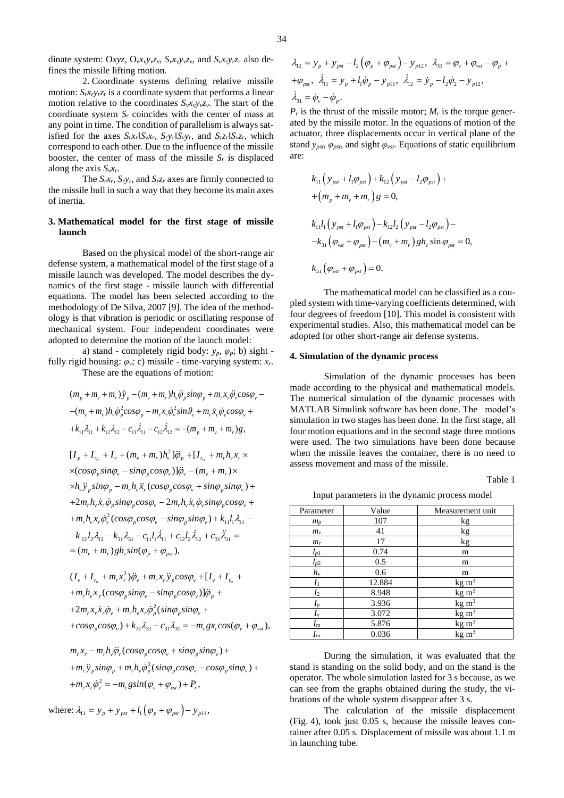dinate system: Oxyz, O<sub>v</sub>x<sub>v</sub>y<sub>v</sub>z<sub>v</sub>, S<sub>v</sub>x<sub>v</sub>y<sub>v</sub>z<sub>v</sub>, and S<sub>v</sub>x<sub>r</sub>y<sub>r</sub>z<sub>r</sub> also defines the missile lifting motion.

2. Coordinate systems defining relative missile motion:  $S_r x_r y_r z_r$  is a coordinate system that performs a linear motion relative to the coordinates  $S_{\nu}x_{\nu}y_{\nu}z_{\nu}$ . The start of the coordinate system *S<sup>r</sup>* coincides with the center of mass at any point in time. The condition of parallelism is always satisfied for the axes  $S_r x_r \Vert S_v x_r$ ,  $S_r y_r \Vert S_v y_r$ , and  $S_r z_r \Vert S_v z_r$ , which correspond to each other. Due to the influence of the missile booster, the center of mass of the missile  $S_r$  is displaced along the axis  $S_{\nu}x_{r}$ .

The  $S_r x_r$ ,  $S_r y_r$ , and  $S_r z_r$  axes are firmly connected to the missile hull in such a way that they become its main axes of inertia.

#### **3. Mathematical model for the first stage of missile launch**

Based on the physical model of the short-range air defense system, a mathematical model of the first stage of a missile launch was developed. The model describes the dynamics of the first stage - missile launch with differential equations. The model has been selected according to the methodology of De Silva, 2007 [9]. The idea of the methodology is that vibration is periodic or oscillating response of mechanical system. Four independent coordinates were adopted to determine the motion of the launch model:

a) stand - completely rigid body:  $y_p$ ,  $\varphi_p$ ; b) sight fully rigid housing:  $\varphi_v$ ; c) missile - time-varying system:  $x_r$ .

$$
(m_p + m_v + m_r) \ddot{y}_p - (m_v + m_r) h_v \ddot{\phi}_p \sin \phi_p + m_r x_r \ddot{\phi}_v \cos \phi_v - (m_v + m_r) h_v \dot{\phi}_p^2 \cos \phi_p - m_r x_r \dot{\phi}_v^2 \sin \theta_v + m_r \dot{x}_r \dot{\phi}_v \cos \phi_v +
$$
  
+  $k_{11} \lambda_{11} + k_{12} \lambda_{12} - c_{11} \dot{\lambda}_{11} - c_{12} \dot{\lambda}_{12} = -(m_p + m_v + m_r) g$ ,

$$
(I_{\nu} + I_{r_{\nu}} + m_{r}x_{r}^{2})\ddot{\varphi}_{\nu} + m_{r}x_{r}\ddot{\varphi}_{p}cos\varphi_{\nu} + [I_{\nu} + I_{r_{\nu}} +
$$
  
+ $m_{r}h_{\nu}x_{r}(cos\varphi_{p}sin\varphi_{\nu} - sin\varphi_{p}cos\varphi_{\nu})]\ddot{\varphi}_{p} +$   
+ $2m_{r}x_{r}\dot{x}_{r}\dot{\varphi}_{\nu} + m_{r}h_{\nu}x_{r}\dot{\varphi}_{p}^{2}(sin\varphi_{p}sin\varphi_{\nu} +$   
+ $cos\varphi_{p}cos\varphi_{\nu}) + k_{31}\lambda_{31} - c_{31}\lambda_{31} = -m_{r}gx_{r}cos(\varphi_{\nu} + \varphi_{\nu sr}),$ 

$$
m_r x_r - m_r h_v \ddot{\varphi}_r (cos \varphi_p cos \varphi_v + sin \varphi_p sin \varphi_v) ++ m_r \ddot{y}_p sin \varphi_p + m_r h_v \dot{\varphi}_p^2 (sin \varphi_p cos \varphi_v - cos \varphi_p sin \varphi_v) ++ m_r x_r \dot{\varphi}_v^2 = -m_r g sin (\varphi_v + \varphi_{vs}) + P_r,
$$

where: 
$$
\lambda_{11} = y_p + y_{pst} + l_1(\varphi_p + \varphi_{pst}) - y_{p11}
$$
,

$$
\lambda_{12} = y_p + y_{pst} - l_2 (\varphi_p + \varphi_{pst}) - y_{p12}, \ \lambda_{31} = \varphi_v + \varphi_{vst} - \varphi_p +
$$
  
+ $\varphi_{pst}$ ,  $\dot{\lambda}_{11} = y_p + l_1 \dot{\varphi}_p - y_{p11}$ ,  $\dot{\lambda}_{12} = \dot{y}_p - l_2 \dot{\varphi}_2 - y_{p12}$ ,  
 $\dot{\lambda}_{31} = \dot{\varphi}_v - \dot{\varphi}_p$ .

$$
k_{11}\left(y_{pst} + l_1\varphi_{pst}\right) + k_{12}\left(y_{pst} - l_2\varphi_{pst}\right) ++ \left(m_p + m_v + m_r\right)g = 0,k_{11}l_1\left(y_{pst} + l_1\varphi_{pst}\right) - k_{12}l_2\left(y_{pst} - l_2\varphi_{pst}\right) --k_{31}\left(\varphi_{vst} + \varphi_{pst}\right) - \left(m_v + m_r\right)gh_v \sin \varphi_{pst} = 0,k_{31}\left(\varphi_{vst} + \varphi_{pst}\right) = 0.
$$

#### **4. Simulation of the dynamic process**

Table 1

Input parameters in the dynamic process model

| system: Oxyz, O <sub>v</sub> x <sub>v</sub> y <sub>v</sub> z <sub>v</sub> , S <sub>v</sub> x <sub>v</sub> y <sub>v</sub> z <sub>v</sub> , and S <sub>v</sub> x <sub>r</sub> y <sub>r</sub> z <sub>r</sub> also de-<br>e missile lifting motion.<br>2. Coordinate systems defining relative missile<br>: $S_r x_r y_r z_r$ is a coordinate system that performs a linear<br>relative to the coordinates $S_{v}x_{v}y_{v}z_{v}$ . The start of the<br>ate system $S_r$ coincides with the center of mass at<br>nt in time. The condition of parallelism is always sat-<br>for the axes $S_r x_r \mathbb{I} S_v x_r$ , $S_r y_r \mathbb{I} S_v y_r$ , and $S_r z_r \mathbb{I} S_v z_r$ , which<br>ond to each other. Due to the influence of the missile<br>, the center of mass of the missile $S_r$ is displaced<br>ne axis $S_{\nu}x_{r}$ .<br>The $S_r x_r$ , $S_r y_r$ , and $S_r z_r$ axes are firmly connected to<br>sile hull in such a way that they become its main axes<br>1a. | $\lambda_{31} = \dot{\varphi}_v - \dot{\varphi}_v.$<br>are:                                                                                                                                                                                                                                                                                  | $\lambda_{12} = y_p + y_{pst} - l_2 (\varphi_p + \varphi_{pst}) - y_{p12}, \lambda_{31} = \varphi_v + \varphi_{vst} - \varphi_p +$<br>$+\varphi_{pst}$ , $\dot{\lambda}_{11} = y_p + l_1 \dot{\varphi}_p - y_{p11}$ , $\dot{\lambda}_{12} = \dot{y}_p - l_2 \dot{\varphi}_2 - y_{p12}$ ,<br>$P_r$ is the thrust of the missile motor; $M_r$ is the torque gener-<br>ated by the missile motor. In the equations of motion of the<br>actuator, three displacements occur in vertical plane of the<br>stand $y_{pst}$ , $\varphi_{pst}$ , and sight $\varphi_{vst}$ . Equations of static equilibrium<br>$k_{11}\left(y_{pst}+l_1\varphi_{pst}\right)+k_{12}\left(y_{pst}-l_2\varphi_{pst}\right)+$<br>$+(m_{v}+m_{v}+m_{r})g=0,$ |                                                                                                                                                                                                                                                                                                                                                                                                                                                                                  |  |
|----------------------------------------------------------------------------------------------------------------------------------------------------------------------------------------------------------------------------------------------------------------------------------------------------------------------------------------------------------------------------------------------------------------------------------------------------------------------------------------------------------------------------------------------------------------------------------------------------------------------------------------------------------------------------------------------------------------------------------------------------------------------------------------------------------------------------------------------------------------------------------------------------------------------------------------------------------------------------------------|----------------------------------------------------------------------------------------------------------------------------------------------------------------------------------------------------------------------------------------------------------------------------------------------------------------------------------------------|---------------------------------------------------------------------------------------------------------------------------------------------------------------------------------------------------------------------------------------------------------------------------------------------------------------------------------------------------------------------------------------------------------------------------------------------------------------------------------------------------------------------------------------------------------------------------------------------------------------------------------------------------------------------------------------------------------------------------------|----------------------------------------------------------------------------------------------------------------------------------------------------------------------------------------------------------------------------------------------------------------------------------------------------------------------------------------------------------------------------------------------------------------------------------------------------------------------------------|--|
| hematical model for the first stage of missile<br>ch                                                                                                                                                                                                                                                                                                                                                                                                                                                                                                                                                                                                                                                                                                                                                                                                                                                                                                                                   | $k_{11}l_{1} \left( y_{pst} + l_{1} \varphi_{pst} \right) - k_{12}l_{2} \left( y_{pst} - l_{2} \varphi_{pst} \right) -$                                                                                                                                                                                                                      |                                                                                                                                                                                                                                                                                                                                                                                                                                                                                                                                                                                                                                                                                                                                 |                                                                                                                                                                                                                                                                                                                                                                                                                                                                                  |  |
|                                                                                                                                                                                                                                                                                                                                                                                                                                                                                                                                                                                                                                                                                                                                                                                                                                                                                                                                                                                        | $-k_{31}(\varphi_{\nu st}+\varphi_{\nu st})-(m_{\nu}+m_{\nu}) gh_{\nu} \sin \varphi_{\nu st}=0,$                                                                                                                                                                                                                                             |                                                                                                                                                                                                                                                                                                                                                                                                                                                                                                                                                                                                                                                                                                                                 |                                                                                                                                                                                                                                                                                                                                                                                                                                                                                  |  |
| Based on the physical model of the short-range air<br>system, a mathematical model of the first stage of a<br>launch was developed. The model describes the dy-                                                                                                                                                                                                                                                                                                                                                                                                                                                                                                                                                                                                                                                                                                                                                                                                                        | $k_{31}(\varphi_{vst}+\varphi_{nst})=0.$                                                                                                                                                                                                                                                                                                     |                                                                                                                                                                                                                                                                                                                                                                                                                                                                                                                                                                                                                                                                                                                                 |                                                                                                                                                                                                                                                                                                                                                                                                                                                                                  |  |
| of the first stage - missile launch with differential<br>ns. The model has been selected according to the<br>ology of De Silva, 2007 [9]. The idea of the method-<br>s that vibration is periodic or oscillating response of<br>nical system. Four independent coordinates were<br>I to determine the motion of the launch model:<br>a) stand - completely rigid body: $y_p$ , $\varphi_p$ ; b) sight -                                                                                                                                                                                                                                                                                                                                                                                                                                                                                                                                                                                | The mathematical model can be classified as a cou-<br>pled system with time-varying coefficients determined, with<br>four degrees of freedom [10]. This model is consistent with<br>experimental studies. Also, this mathematical model can be<br>adopted for other short-range air defense systems.<br>4. Simulation of the dynamic process |                                                                                                                                                                                                                                                                                                                                                                                                                                                                                                                                                                                                                                                                                                                                 |                                                                                                                                                                                                                                                                                                                                                                                                                                                                                  |  |
| gid housing: $\varphi_v$ ; c) missile - time-varying system: $x_r$ .<br>These are the equations of motion:                                                                                                                                                                                                                                                                                                                                                                                                                                                                                                                                                                                                                                                                                                                                                                                                                                                                             |                                                                                                                                                                                                                                                                                                                                              |                                                                                                                                                                                                                                                                                                                                                                                                                                                                                                                                                                                                                                                                                                                                 |                                                                                                                                                                                                                                                                                                                                                                                                                                                                                  |  |
| $m_p + m_v + m_r \rightarrow \dot{y}_p - (m_v + m_r) h_v \ddot{\varphi}_p \sin \varphi_p + m_r x_r \ddot{\varphi}_v \cos \varphi_v -$<br>$(m_v + m_r)h_v\dot{\varphi}_p^2cos\varphi_p - m_rx_r\dot{\varphi}_v^2sin\theta_v + m_rx_r\dot{\varphi}_v cos\varphi_v +$<br>$k_{11}\lambda_{11} + k_{12}\lambda_{12} - c_{11}\lambda_{11} - c_{12}\lambda_{12} = -(m_p + m_v + m_r)g,$<br>$I_{p} + I_{r_{\tau}} + I_{v} + (m_{v} + m_{r})h_{v}^{2}]\ddot{\varphi}_{p} + [I_{r_{\tau}} + m_{r}h_{v}x_{r} \times$<br>$(cos \varphi_p sin \varphi_v - sin \varphi_p cos \varphi_v)]\ddot{\varphi}_v - (m_v + m_r) \times$                                                                                                                                                                                                                                                                                                                                                                       |                                                                                                                                                                                                                                                                                                                                              | assess movement and mass of the missile.                                                                                                                                                                                                                                                                                                                                                                                                                                                                                                                                                                                                                                                                                        | Simulation of the dynamic processes has been<br>made according to the physical and mathematical models<br>The numerical simulation of the dynamic processes with<br>MATLAB Simulink software has been done. The model's<br>simulation in two stages has been done. In the first stage, all<br>four motion equations and in the second stage three motions<br>were used. The two simulations have been done because<br>when the missile leaves the container, there is no need to |  |
| $h_v \ddot{y}_p \sin \varphi_p - m_r h_v \ddot{x}_r (\cos \varphi_p \cos \varphi_v + \sin \varphi_p \sin \varphi_v) +$                                                                                                                                                                                                                                                                                                                                                                                                                                                                                                                                                                                                                                                                                                                                                                                                                                                                 |                                                                                                                                                                                                                                                                                                                                              |                                                                                                                                                                                                                                                                                                                                                                                                                                                                                                                                                                                                                                                                                                                                 | Table 1                                                                                                                                                                                                                                                                                                                                                                                                                                                                          |  |
| $2m_r h_v \dot{x}_r \dot{\phi}_v \sin\varphi_v \cos\varphi_v - 2m_r h_v \dot{x}_r \dot{\phi}_v \sin\varphi_v \cos\varphi_v +$                                                                                                                                                                                                                                                                                                                                                                                                                                                                                                                                                                                                                                                                                                                                                                                                                                                          | Input parameters in the dynamic process model                                                                                                                                                                                                                                                                                                |                                                                                                                                                                                                                                                                                                                                                                                                                                                                                                                                                                                                                                                                                                                                 |                                                                                                                                                                                                                                                                                                                                                                                                                                                                                  |  |
| $m_r h_v x_r \dot{\varphi}_v^2 (cos\varphi_p cos\varphi_v - sin\varphi_p sin\varphi_v) + k_{11} l_1 \lambda_{11} -$                                                                                                                                                                                                                                                                                                                                                                                                                                                                                                                                                                                                                                                                                                                                                                                                                                                                    | Parameter                                                                                                                                                                                                                                                                                                                                    | Value                                                                                                                                                                                                                                                                                                                                                                                                                                                                                                                                                                                                                                                                                                                           | Measurement unit                                                                                                                                                                                                                                                                                                                                                                                                                                                                 |  |
|                                                                                                                                                                                                                                                                                                                                                                                                                                                                                                                                                                                                                                                                                                                                                                                                                                                                                                                                                                                        | $m_p$<br>$m_{v}$                                                                                                                                                                                                                                                                                                                             | 107<br>41                                                                                                                                                                                                                                                                                                                                                                                                                                                                                                                                                                                                                                                                                                                       | kg<br>kg                                                                                                                                                                                                                                                                                                                                                                                                                                                                         |  |
| $k_{12}l_{2}\lambda_{12} - k_{31}\lambda_{31} - c_{11}l_{1}\lambda_{11} + c_{12}l_{2}\lambda_{12} + c_{31}\lambda_{31} =$                                                                                                                                                                                                                                                                                                                                                                                                                                                                                                                                                                                                                                                                                                                                                                                                                                                              | $m_r$                                                                                                                                                                                                                                                                                                                                        | 17                                                                                                                                                                                                                                                                                                                                                                                                                                                                                                                                                                                                                                                                                                                              | kg                                                                                                                                                                                                                                                                                                                                                                                                                                                                               |  |
| $(m_v + m_r) gh_v \sin(\varphi_n + \varphi_{nst}),$                                                                                                                                                                                                                                                                                                                                                                                                                                                                                                                                                                                                                                                                                                                                                                                                                                                                                                                                    | $l_{p1}$                                                                                                                                                                                                                                                                                                                                     | 0.74                                                                                                                                                                                                                                                                                                                                                                                                                                                                                                                                                                                                                                                                                                                            | m                                                                                                                                                                                                                                                                                                                                                                                                                                                                                |  |
|                                                                                                                                                                                                                                                                                                                                                                                                                                                                                                                                                                                                                                                                                                                                                                                                                                                                                                                                                                                        | $l_{p2}$<br>$h_v$                                                                                                                                                                                                                                                                                                                            | 0.5<br>0.6                                                                                                                                                                                                                                                                                                                                                                                                                                                                                                                                                                                                                                                                                                                      | m<br>m                                                                                                                                                                                                                                                                                                                                                                                                                                                                           |  |
| $I_{\nu} + I_{r_{\nu}} + m_{r} x_{r}^{2}$ ) $\ddot{\varphi}_{\nu} + m_{r} x_{r} \ddot{y}_{p} cos \varphi_{\nu} + [I_{\nu} + I_{r_{\nu}} + I_{\nu}]$                                                                                                                                                                                                                                                                                                                                                                                                                                                                                                                                                                                                                                                                                                                                                                                                                                    | I <sub>1</sub>                                                                                                                                                                                                                                                                                                                               | 12.884                                                                                                                                                                                                                                                                                                                                                                                                                                                                                                                                                                                                                                                                                                                          | $kg \, m3$                                                                                                                                                                                                                                                                                                                                                                                                                                                                       |  |
| $m_r h_v x_r (cos\varphi_p sin\varphi_v - sin\varphi_p cos\varphi_v)] \ddot{\varphi}_p +$                                                                                                                                                                                                                                                                                                                                                                                                                                                                                                                                                                                                                                                                                                                                                                                                                                                                                              | I <sub>2</sub>                                                                                                                                                                                                                                                                                                                               | 8.948                                                                                                                                                                                                                                                                                                                                                                                                                                                                                                                                                                                                                                                                                                                           | $kg \, m^3$                                                                                                                                                                                                                                                                                                                                                                                                                                                                      |  |
| $2m_r x_r \dot{x}_r \dot{\varphi}_v + m_r h_v x_r \dot{\varphi}_v^2 (sin\varphi_v sin\varphi_v +$                                                                                                                                                                                                                                                                                                                                                                                                                                                                                                                                                                                                                                                                                                                                                                                                                                                                                      | $I_p$<br>$I_{\nu}$                                                                                                                                                                                                                                                                                                                           | 3.936<br>3.072                                                                                                                                                                                                                                                                                                                                                                                                                                                                                                                                                                                                                                                                                                                  | $kg \, m3$<br>$kg \, m3$                                                                                                                                                                                                                                                                                                                                                                                                                                                         |  |
| $cos\varphi_p cos\varphi_v$ ) + $k_{31}\lambda_{31} - c_{31}\lambda_{31} = -m_r g x_r cos(\varphi_v + \varphi_{vst})$ ,                                                                                                                                                                                                                                                                                                                                                                                                                                                                                                                                                                                                                                                                                                                                                                                                                                                                | $I_{rz}$<br>$I_{rx}$                                                                                                                                                                                                                                                                                                                         | 5.876<br>0.036                                                                                                                                                                                                                                                                                                                                                                                                                                                                                                                                                                                                                                                                                                                  | $kg \, m3$<br>$kg \, m3$                                                                                                                                                                                                                                                                                                                                                                                                                                                         |  |
| $\psi_r x_r - m_r h_v \ddot{\varphi}_r (cos \varphi_p cos \varphi_v + sin \varphi_p sin \varphi_v) +$                                                                                                                                                                                                                                                                                                                                                                                                                                                                                                                                                                                                                                                                                                                                                                                                                                                                                  |                                                                                                                                                                                                                                                                                                                                              |                                                                                                                                                                                                                                                                                                                                                                                                                                                                                                                                                                                                                                                                                                                                 |                                                                                                                                                                                                                                                                                                                                                                                                                                                                                  |  |
| $m_r \ddot{y}_p sin\varphi_p + m_r h_v \dot{\varphi}_p^2 (sin\varphi_p cos\varphi_v - cos\varphi_p sin\varphi_v) +$                                                                                                                                                                                                                                                                                                                                                                                                                                                                                                                                                                                                                                                                                                                                                                                                                                                                    |                                                                                                                                                                                                                                                                                                                                              |                                                                                                                                                                                                                                                                                                                                                                                                                                                                                                                                                                                                                                                                                                                                 | During the simulation, it was evaluated that the                                                                                                                                                                                                                                                                                                                                                                                                                                 |  |
| $m_r x_r \dot{\varphi}_v^2 = -m_r g \sin(\varphi_v + \varphi_{vst}) + P_r,$                                                                                                                                                                                                                                                                                                                                                                                                                                                                                                                                                                                                                                                                                                                                                                                                                                                                                                            | stand is standing on the solid body, and on the stand is the<br>operator. The whole simulation lasted for 3 s because, as we<br>can see from the graphs obtained during the study, the vi-                                                                                                                                                   |                                                                                                                                                                                                                                                                                                                                                                                                                                                                                                                                                                                                                                                                                                                                 |                                                                                                                                                                                                                                                                                                                                                                                                                                                                                  |  |
| $\lambda_{11} = y_p + y_{pst} + l_1(\varphi_p + \varphi_{pst}) - y_{p11},$                                                                                                                                                                                                                                                                                                                                                                                                                                                                                                                                                                                                                                                                                                                                                                                                                                                                                                             | brations of the whole system disappear after 3 s.<br>The calculation of the missile displacement                                                                                                                                                                                                                                             |                                                                                                                                                                                                                                                                                                                                                                                                                                                                                                                                                                                                                                                                                                                                 |                                                                                                                                                                                                                                                                                                                                                                                                                                                                                  |  |

The calculation of the missile displacement (Fig. 4), took just 0.05 s, because the missile leaves container after 0.05 s. Displacement of missile was about 1.1 m in launching tube.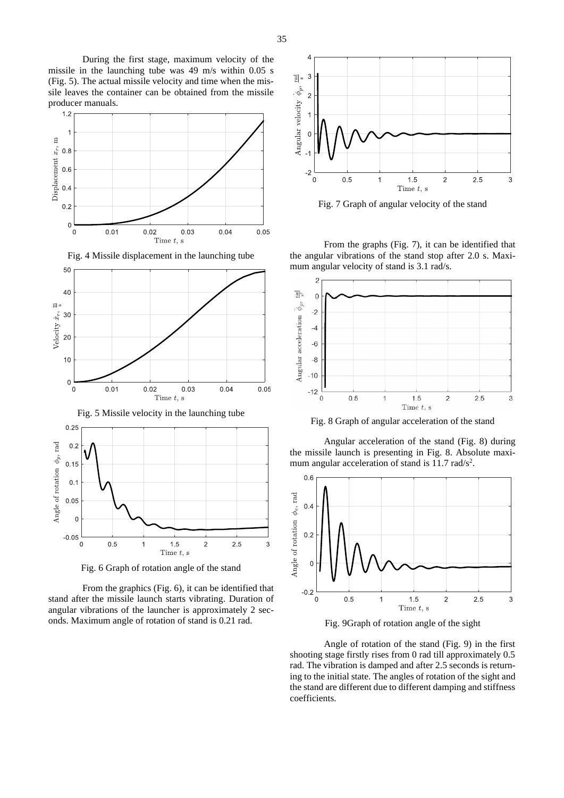During the first stage, maximum velocity of the missile in the launching tube was 49 m/s within 0.05 s (Fig. 5). The actual missile velocity and time when the missile leaves the container can be obtained from the missile producer manuals.









Fig. 6 Graph of rotation angle of the stand

Time  $t$ , s

From the graphics (Fig. 6), it can be identified that stand after the missile launch starts vibrating. Duration of angular vibrations of the launcher is approximately 2 seconds. Maximum angle of rotation of stand is 0.21 rad.



Fig. 7 Graph of angular velocity of the stand

From the graphs (Fig. 7), it can be identified that the angular vibrations of the stand stop after 2.0 s. Maximum angular velocity of stand is 3.1 rad/s.



Fig. 8 Graph of angular acceleration of the stand

Angular acceleration of the stand (Fig. 8) during the missile launch is presenting in Fig. 8. Absolute maximum angular acceleration of stand is 11.7 rad/s<sup>2</sup>.



Fig. 9Graph of rotation angle of the sight

Angle of rotation of the stand (Fig. 9) in the first shooting stage firstly rises from 0 rad till approximately 0.5 rad. The vibration is damped and after 2.5 seconds is returning to the initial state. The angles of rotation of the sight and the stand are different due to different damping and stiffness coefficients.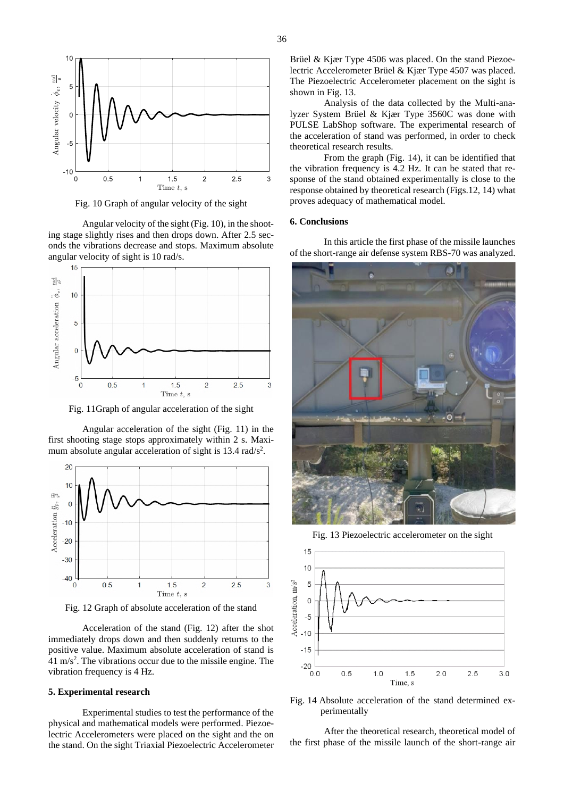

Fig. 10 Graph of angular velocity of the sight

Angular velocity of the sight (Fig. 10), in the shooting stage slightly rises and then drops down. After 2.5 seconds the vibrations decrease and stops. Maximum absolute angular velocity of sight is 10 rad/s.



Fig. 11Graph of angular acceleration of the sight

Angular acceleration of the sight (Fig. 11) in the first shooting stage stops approximately within 2 s. Maximum absolute angular acceleration of sight is  $13.4$  rad/s<sup>2</sup>.



Fig. 12 Graph of absolute acceleration of the stand

Acceleration of the stand (Fig. 12) after the shot immediately drops down and then suddenly returns to the positive value. Maximum absolute acceleration of stand is  $41 \text{ m/s}^2$ . The vibrations occur due to the missile engine. The vibration frequency is 4 Hz.

# **5. Experimental research**

Experimental studies to test the performance of the physical and mathematical models were performed. Piezoelectric Accelerometers were placed on the sight and the on the stand. On the sight Triaxial Piezoelectric Accelerometer Brüel & Kjær Type 4506 was placed. On the stand Piezoelectric Accelerometer Brüel & Kjær Type 4507 was placed. The Piezoelectric Accelerometer placement on the sight is shown in Fig. 13.

Analysis of the data collected by the Multi-analyzer System Brüel & Kjær Type 3560C was done with PULSE LabShop software. The experimental research of the acceleration of stand was performed, in order to check theoretical research results.

From the graph (Fig. 14), it can be identified that the vibration frequency is 4.2 Hz. It can be stated that response of the stand obtained experimentally is close to the response obtained by theoretical research (Figs.12, 14) what proves adequacy of mathematical model.

#### **6. Conclusions**

In this article the first phase of the missile launches of the short-range air defense system RBS-70 was analyzed.



Fig. 13 Piezoelectric accelerometer on the sight



Fig. 14 Absolute acceleration of the stand determined experimentally

After the theoretical research, theoretical model of the first phase of the missile launch of the short-range air